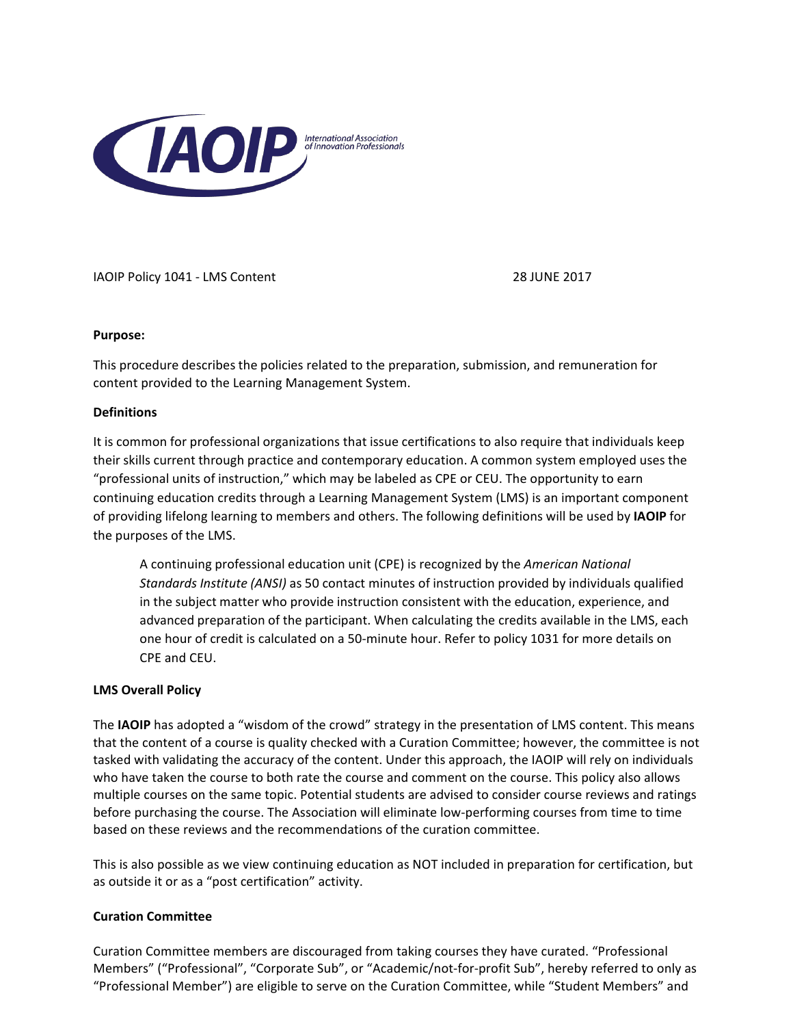

IAOIP Policy 1041 - LMS Content 28 JUNE 2017

## **Purpose:**

This procedure describes the policies related to the preparation, submission, and remuneration for content provided to the Learning Management System.

## **Definitions**

It is common for professional organizations that issue certifications to also require that individuals keep their skills current through practice and contemporary education. A common system employed uses the "professional units of instruction," which may be labeled as CPE or CEU. The opportunity to earn continuing education credits through a Learning Management System (LMS) is an important component of providing lifelong learning to members and others. The following definitions will be used by **IAOIP** for the purposes of the LMS.

A continuing professional education unit (CPE) is recognized by the *American National Standards Institute (ANSI)* as 50 contact minutes of instruction provided by individuals qualified in the subject matter who provide instruction consistent with the education, experience, and advanced preparation of the participant. When calculating the credits available in the LMS, each one hour of credit is calculated on a 50-minute hour. Refer to policy 1031 for more details on CPE and CEU.

# **LMS Overall Policy**

The IAOIP has adopted a "wisdom of the crowd" strategy in the presentation of LMS content. This means that the content of a course is quality checked with a Curation Committee; however, the committee is not tasked with validating the accuracy of the content. Under this approach, the IAOIP will rely on individuals who have taken the course to both rate the course and comment on the course. This policy also allows multiple courses on the same topic. Potential students are advised to consider course reviews and ratings before purchasing the course. The Association will eliminate low-performing courses from time to time based on these reviews and the recommendations of the curation committee.

This is also possible as we view continuing education as NOT included in preparation for certification, but as outside it or as a "post certification" activity.

# **Curation Committee**

Curation Committee members are discouraged from taking courses they have curated. "Professional Members" ("Professional", "Corporate Sub", or "Academic/not-for-profit Sub", hereby referred to only as "Professional Member") are eligible to serve on the Curation Committee, while "Student Members" and